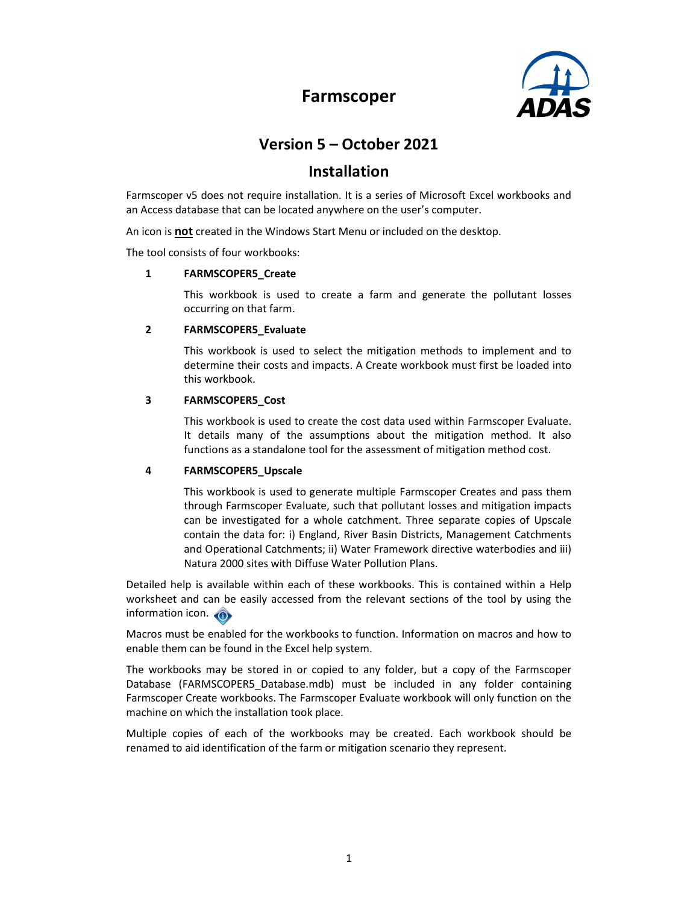



# Version 5 – October 2021

# Installation

Farmscoper v5 does not require installation. It is a series of Microsoft Excel workbooks and an Access database that can be located anywhere on the user's computer.

An icon is not created in the Windows Start Menu or included on the desktop.

The tool consists of four workbooks:

#### 1 FARMSCOPER5\_Create

This workbook is used to create a farm and generate the pollutant losses occurring on that farm.

#### 2 FARMSCOPER5 Evaluate

This workbook is used to select the mitigation methods to implement and to determine their costs and impacts. A Create workbook must first be loaded into this workbook.

#### 3 FARMSCOPER5\_Cost

This workbook is used to create the cost data used within Farmscoper Evaluate. It details many of the assumptions about the mitigation method. It also functions as a standalone tool for the assessment of mitigation method cost.

#### 4 FARMSCOPER5\_Upscale

This workbook is used to generate multiple Farmscoper Creates and pass them through Farmscoper Evaluate, such that pollutant losses and mitigation impacts can be investigated for a whole catchment. Three separate copies of Upscale contain the data for: i) England, River Basin Districts, Management Catchments and Operational Catchments; ii) Water Framework directive waterbodies and iii) Natura 2000 sites with Diffuse Water Pollution Plans.

Detailed help is available within each of these workbooks. This is contained within a Help worksheet and can be easily accessed from the relevant sections of the tool by using the information icon.

Macros must be enabled for the workbooks to function. Information on macros and how to enable them can be found in the Excel help system.

The workbooks may be stored in or copied to any folder, but a copy of the Farmscoper Database (FARMSCOPER5\_Database.mdb) must be included in any folder containing Farmscoper Create workbooks. The Farmscoper Evaluate workbook will only function on the machine on which the installation took place.

Multiple copies of each of the workbooks may be created. Each workbook should be renamed to aid identification of the farm or mitigation scenario they represent.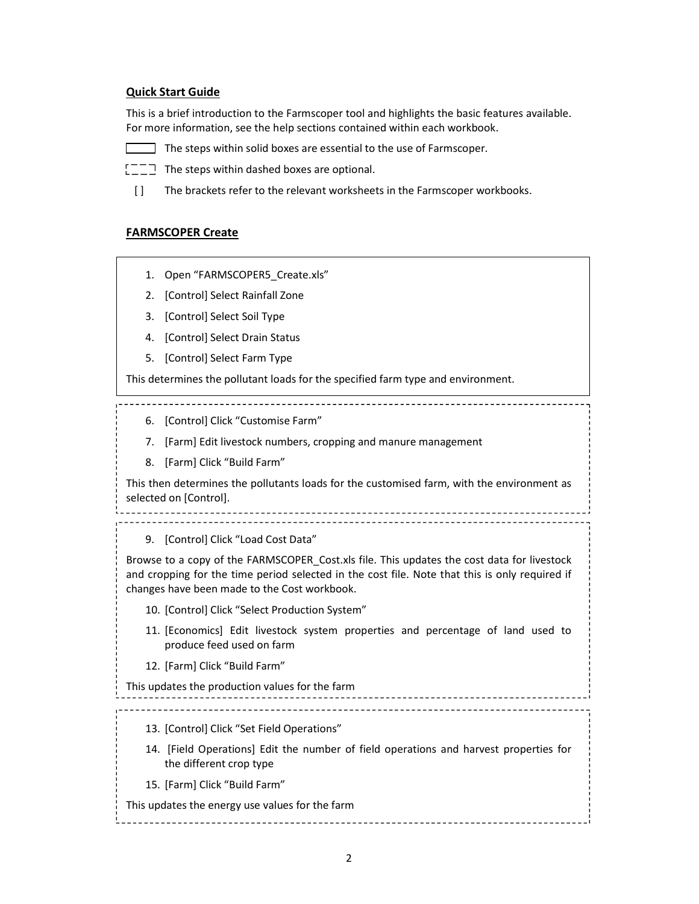## Quick Start Guide

This is a brief introduction to the Farmscoper tool and highlights the basic features available. For more information, see the help sections contained within each workbook.

- $\Box$  The steps within solid boxes are essential to the use of Farmscoper.
- $[TT]$  The steps within dashed boxes are optional.
- [] The brackets refer to the relevant worksheets in the Farmscoper workbooks.

#### FARMSCOPER Create

- 1. Open "FARMSCOPER5 Create.xls"
- 2. [Control] Select Rainfall Zone
- 3. [Control] Select Soil Type
- 4. [Control] Select Drain Status
- 5. [Control] Select Farm Type

This determines the pollutant loads for the specified farm type and environment.

- 6. [Control] Click "Customise Farm"
- 7. [Farm] Edit livestock numbers, cropping and manure management
- 8. [Farm] Click "Build Farm"

This then determines the pollutants loads for the customised farm, with the environment as selected on [Control].

9. [Control] Click "Load Cost Data"

Browse to a copy of the FARMSCOPER\_Cost.xls file. This updates the cost data for livestock and cropping for the time period selected in the cost file. Note that this is only required if changes have been made to the Cost workbook.

- 10. [Control] Click "Select Production System"
- 11. [Economics] Edit livestock system properties and percentage of land used to produce feed used on farm
- 12. [Farm] Click "Build Farm"

This updates the production values for the farm

13. [Control] Click "Set Field Operations"

- 14. [Field Operations] Edit the number of field operations and harvest properties for the different crop type
- 15. [Farm] Click "Build Farm"

This updates the energy use values for the farm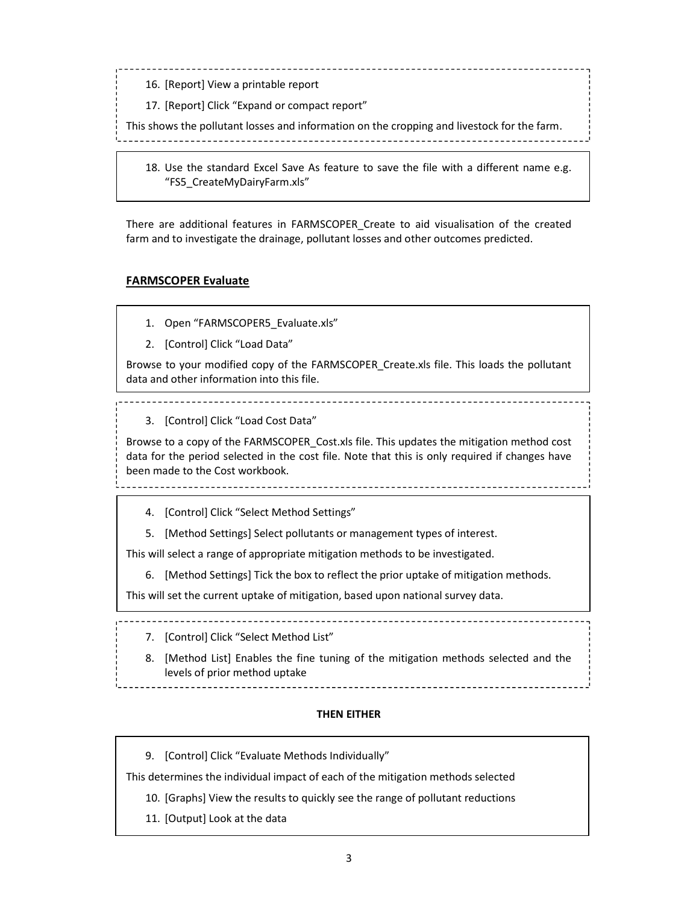- 16. [Report] View a printable report
- 17. [Report] Click "Expand or compact report"

This shows the pollutant losses and information on the cropping and livestock for the farm.

18. Use the standard Excel Save As feature to save the file with a different name e.g. "FS5\_CreateMyDairyFarm.xls"

There are additional features in FARMSCOPER\_Create to aid visualisation of the created farm and to investigate the drainage, pollutant losses and other outcomes predicted.

#### FARMSCOPER Evaluate

- 1. Open "FARMSCOPER5\_Evaluate.xls"
- 2. [Control] Click "Load Data"

Browse to your modified copy of the FARMSCOPER\_Create.xls file. This loads the pollutant data and other information into this file.

3. [Control] Click "Load Cost Data"

Browse to a copy of the FARMSCOPER\_Cost.xls file. This updates the mitigation method cost data for the period selected in the cost file. Note that this is only required if changes have been made to the Cost workbook.

- 4. [Control] Click "Select Method Settings"
- 5. [Method Settings] Select pollutants or management types of interest.

This will select a range of appropriate mitigation methods to be investigated.

6. [Method Settings] Tick the box to reflect the prior uptake of mitigation methods.

This will set the current uptake of mitigation, based upon national survey data.

- 7. [Control] Click "Select Method List"
- 8. [Method List] Enables the fine tuning of the mitigation methods selected and the levels of prior method uptake

#### THEN EITHER

9. [Control] Click "Evaluate Methods Individually"

This determines the individual impact of each of the mitigation methods selected

- 10. [Graphs] View the results to quickly see the range of pollutant reductions
- 11. [Output] Look at the data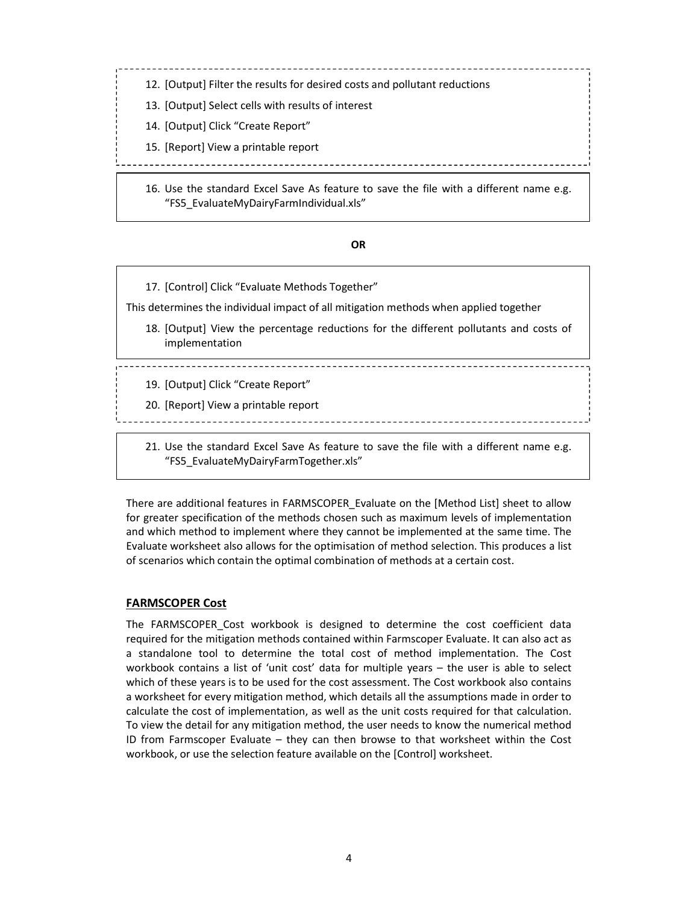12. [Output] Filter the results for desired costs and pollutant reductions

- 13. [Output] Select cells with results of interest
- 14. [Output] Click "Create Report"
- 15. [Report] View a printable report

16. Use the standard Excel Save As feature to save the file with a different name e.g. "FS5\_EvaluateMyDairyFarmIndividual.xls"

<u>----------------------</u>

# OR

17. [Control] Click "Evaluate Methods Together"

This determines the individual impact of all mitigation methods when applied together

- 18. [Output] View the percentage reductions for the different pollutants and costs of implementation
- 19. [Output] Click "Create Report"
- 20. [Report] View a printable report
- 21. Use the standard Excel Save As feature to save the file with a different name e.g. "FS5\_EvaluateMyDairyFarmTogether.xls"

There are additional features in FARMSCOPER\_Evaluate on the [Method List] sheet to allow for greater specification of the methods chosen such as maximum levels of implementation and which method to implement where they cannot be implemented at the same time. The Evaluate worksheet also allows for the optimisation of method selection. This produces a list of scenarios which contain the optimal combination of methods at a certain cost.

## FARMSCOPER Cost

The FARMSCOPER\_Cost workbook is designed to determine the cost coefficient data required for the mitigation methods contained within Farmscoper Evaluate. It can also act as a standalone tool to determine the total cost of method implementation. The Cost workbook contains a list of 'unit cost' data for multiple years – the user is able to select which of these years is to be used for the cost assessment. The Cost workbook also contains a worksheet for every mitigation method, which details all the assumptions made in order to calculate the cost of implementation, as well as the unit costs required for that calculation. To view the detail for any mitigation method, the user needs to know the numerical method ID from Farmscoper Evaluate – they can then browse to that worksheet within the Cost workbook, or use the selection feature available on the [Control] worksheet.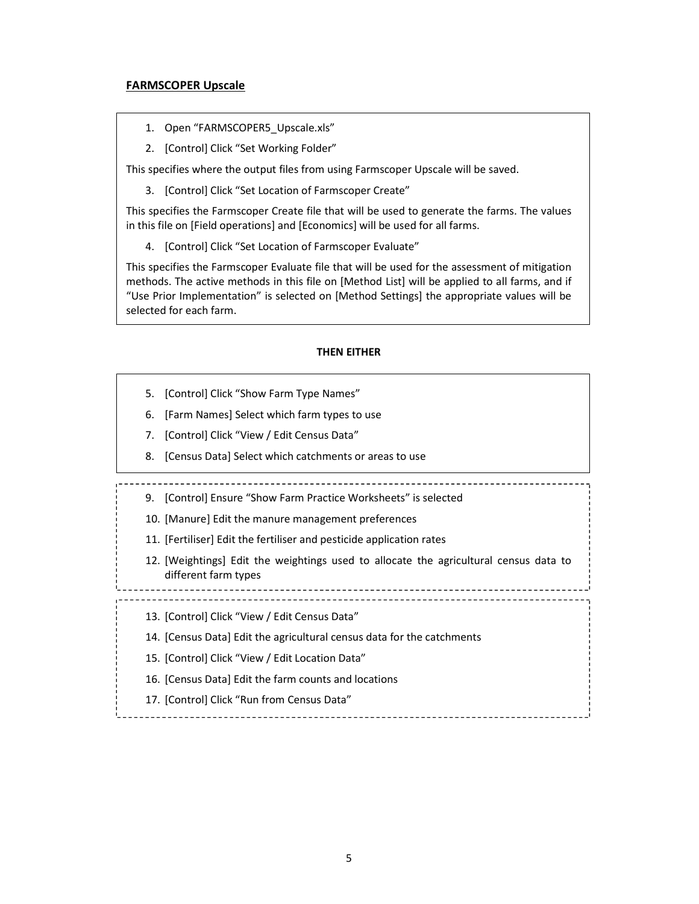#### FARMSCOPER Upscale

- 1. Open "FARMSCOPER5\_Upscale.xls"
- 2. [Control] Click "Set Working Folder"

This specifies where the output files from using Farmscoper Upscale will be saved.

3. [Control] Click "Set Location of Farmscoper Create"

This specifies the Farmscoper Create file that will be used to generate the farms. The values in this file on [Field operations] and [Economics] will be used for all farms.

4. [Control] Click "Set Location of Farmscoper Evaluate"

This specifies the Farmscoper Evaluate file that will be used for the assessment of mitigation methods. The active methods in this file on [Method List] will be applied to all farms, and if "Use Prior Implementation" is selected on [Method Settings] the appropriate values will be selected for each farm.

#### THEN EITHER

- 5. [Control] Click "Show Farm Type Names"
- 6. [Farm Names] Select which farm types to use
- 7. [Control] Click "View / Edit Census Data"
- 8. [Census Data] Select which catchments or areas to use
- 9. [Control] Ensure "Show Farm Practice Worksheets" is selected
- 10. [Manure] Edit the manure management preferences
- 11. [Fertiliser] Edit the fertiliser and pesticide application rates
- 12. [Weightings] Edit the weightings used to allocate the agricultural census data to different farm types

13. [Control] Click "View / Edit Census Data"

- 14. [Census Data] Edit the agricultural census data for the catchments
- 15. [Control] Click "View / Edit Location Data"
- 16. [Census Data] Edit the farm counts and locations
- 17. [Control] Click "Run from Census Data"